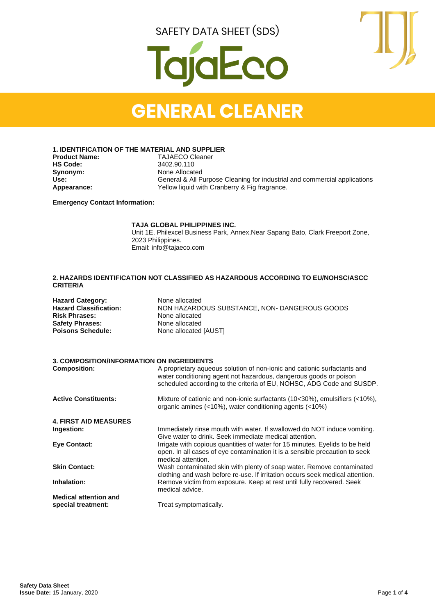

### **GENERAL CLEANER**

**1. IDENTIFICATION OF THE MATERIAL AND SUPPLIER**

**Synonym:** None Allocated<br>
Use: General & All P

**Product Name:** TAJAECO Cleaner<br> **HS Code:** 3402.90.110 **HS Code:** 3402.90.110 Use:<br>
General & All Purpose Cleaning for industrial and commercial applications<br>
Yellow liquid with Cranberry & Fig fragrance. Yellow liquid with Cranberry & Fig fragrance.

**Emergency Contact Information:**

#### **TAJA GLOBAL PHILIPPINES INC.**

Unit 1E, Philexcel Business Park, Annex,Near Sapang Bato, Clark Freeport Zone, 2023 Philippines. Email: info@tajaeco.com

#### **2. HAZARDS IDENTIFICATION NOT CLASSIFIED AS HAZARDOUS ACCORDING TO EU/NOHSC/ASCC CRITERIA**

| <b>Hazard Category:</b> | None allocated                               |
|-------------------------|----------------------------------------------|
| Hazard Classification:  | NON HAZARDOUS SUBSTANCE, NON-DANGEROUS GOODS |
| <b>Risk Phrases:</b>    | None allocated                               |
| Safety Phrases:         | None allocated                               |
| Poisons Schedule:       | None allocated [AUST]                        |

#### **3. COMPOSITION/INFORMATION ON INGREDIENTS**

| <b>Composition:</b>          | A proprietary aqueous solution of non-ionic and cationic surfactants and<br>water conditioning agent not hazardous, dangerous goods or poison<br>scheduled according to the criteria of EU, NOHSC, ADG Code and SUSDP. |
|------------------------------|------------------------------------------------------------------------------------------------------------------------------------------------------------------------------------------------------------------------|
| <b>Active Constituents:</b>  | Mixture of cationic and non-ionic surfactants (10<30%), emulsifiers (<10%),<br>organic amines (<10%), water conditioning agents (<10%)                                                                                 |
| <b>4. FIRST AID MEASURES</b> |                                                                                                                                                                                                                        |
| Ingestion:                   | Immediately rinse mouth with water. If swallowed do NOT induce vomiting.<br>Give water to drink. Seek immediate medical attention.                                                                                     |
| <b>Eve Contact:</b>          | Irrigate with copious quantities of water for 15 minutes. Eyelids to be held<br>open. In all cases of eye contamination it is a sensible precaution to seek<br>medical attention.                                      |
| <b>Skin Contact:</b>         | Wash contaminated skin with plenty of soap water. Remove contaminated<br>clothing and wash before re-use. If irritation occurs seek medical attention.                                                                 |
| Inhalation:                  | Remove victim from exposure. Keep at rest until fully recovered. Seek<br>medical advice.                                                                                                                               |
| <b>Medical attention and</b> |                                                                                                                                                                                                                        |
| special treatment:           | Treat symptomatically.                                                                                                                                                                                                 |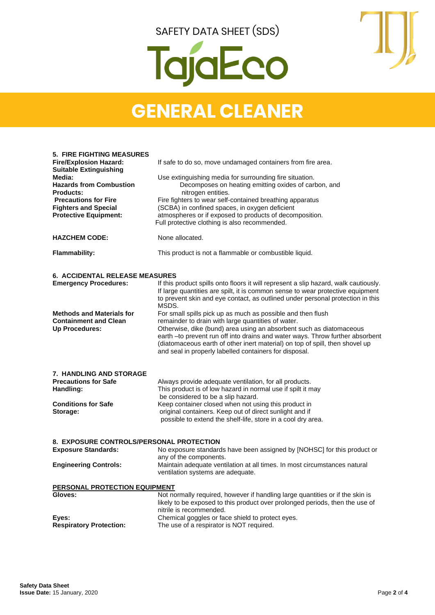

## **GENERAL CLEANER**

| <b>5. FIRE FIGHTING MEASURES</b>                                      |                                                                                                                                                      |
|-----------------------------------------------------------------------|------------------------------------------------------------------------------------------------------------------------------------------------------|
| <b>Fire/Explosion Hazard:</b>                                         | If safe to do so, move undamaged containers from fire area.                                                                                          |
| <b>Suitable Extinguishing</b>                                         |                                                                                                                                                      |
| Media:<br><b>Hazards from Combustion</b>                              | Use extinguishing media for surrounding fire situation.<br>Decomposes on heating emitting oxides of carbon, and                                      |
| <b>Products:</b>                                                      | nitrogen entities.                                                                                                                                   |
| <b>Precautions for Fire</b>                                           | Fire fighters to wear self-contained breathing apparatus                                                                                             |
| <b>Fighters and Special</b>                                           | (SCBA) in confined spaces, in oxygen deficient                                                                                                       |
| <b>Protective Equipment:</b>                                          | atmospheres or if exposed to products of decomposition.                                                                                              |
|                                                                       | Full protective clothing is also recommended.                                                                                                        |
| <b>HAZCHEM CODE:</b>                                                  | None allocated.                                                                                                                                      |
| <b>Flammability:</b>                                                  | This product is not a flammable or combustible liquid.                                                                                               |
|                                                                       |                                                                                                                                                      |
| <b>6. ACCIDENTAL RELEASE MEASURES</b><br><b>Emergency Procedures:</b> | If this product spills onto floors it will represent a slip hazard, walk cautiously.                                                                 |
|                                                                       | If large quantities are spilt, it is common sense to wear protective equipment                                                                       |
|                                                                       | to prevent skin and eye contact, as outlined under personal protection in this                                                                       |
|                                                                       | MSDS.                                                                                                                                                |
| <b>Methods and Materials for</b>                                      | For small spills pick up as much as possible and then flush                                                                                          |
| <b>Containment and Clean</b>                                          | remainder to drain with large quantities of water.                                                                                                   |
| <b>Up Procedures:</b>                                                 | Otherwise, dike (bund) area using an absorbent such as diatomaceous<br>earth -to prevent run off into drains and water ways. Throw further absorbent |
|                                                                       | (diatomaceous earth of other inert material) on top of spill, then shovel up                                                                         |
|                                                                       | and seal in properly labelled containers for disposal.                                                                                               |
|                                                                       |                                                                                                                                                      |
| <b>7. HANDLING AND STORAGE</b>                                        |                                                                                                                                                      |
| <b>Precautions for Safe</b>                                           | Always provide adequate ventilation, for all products.                                                                                               |
| Handling:                                                             | This product is of low hazard in normal use if spilt it may                                                                                          |
|                                                                       | be considered to be a slip hazard.                                                                                                                   |
| <b>Conditions for Safe</b>                                            | Keep container closed when not using this product in                                                                                                 |
| Storage:                                                              | original containers. Keep out of direct sunlight and if<br>possible to extend the shelf-life, store in a cool dry area.                              |
|                                                                       |                                                                                                                                                      |
|                                                                       |                                                                                                                                                      |
| 8. EXPOSURE CONTROLS/PERSONAL PROTECTION                              |                                                                                                                                                      |
| <b>Exposure Standards:</b>                                            | No exposure standards have been assigned by [NOHSC] for this product or<br>any of the components.                                                    |
| <b>Engineering Controls:</b>                                          | Maintain adequate ventilation at all times. In most circumstances natural                                                                            |
|                                                                       | ventilation systems are adequate.                                                                                                                    |
|                                                                       |                                                                                                                                                      |
| PERSONAL PROTECTION EQUIPMENT<br>Gloves:                              | Not normally required, however if handling large quantities or if the skin is                                                                        |
|                                                                       | likely to be exposed to this product over prolonged periods, then the use of                                                                         |
|                                                                       | nitrile is recommended.                                                                                                                              |
| Eyes:                                                                 | Chemical goggles or face shield to protect eyes.                                                                                                     |
| <b>Respiratory Protection:</b>                                        | The use of a respirator is NOT required.                                                                                                             |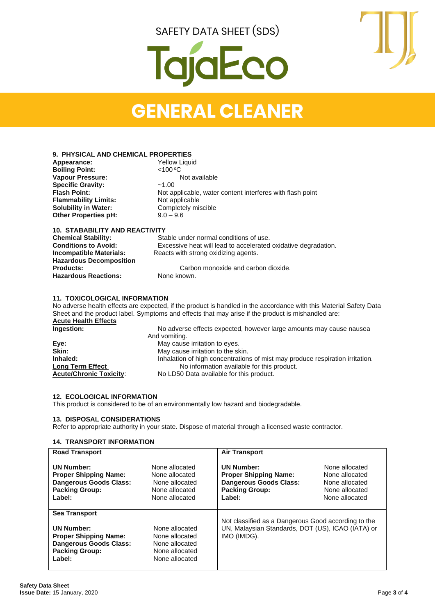# gjaEco



# **GENERAL CLEANER**

#### **9. PHYSICAL AND CHEMICAL PROPERTIES**

| Appearance:                 | <b>Yellow Liquid</b>                                      |  |  |
|-----------------------------|-----------------------------------------------------------|--|--|
| <b>Boiling Point:</b>       | < 100 °C                                                  |  |  |
| <b>Vapour Pressure:</b>     | Not available                                             |  |  |
| <b>Specific Gravity:</b>    | ~1.00                                                     |  |  |
| <b>Flash Point:</b>         | Not applicable, water content interferes with flash point |  |  |
| <b>Flammability Limits:</b> | Not applicable                                            |  |  |
| <b>Solubility in Water:</b> | Completely miscible                                       |  |  |
| <b>Other Properties pH:</b> | $9.0 - 9.6$                                               |  |  |
|                             |                                                           |  |  |
|                             |                                                           |  |  |

#### **10. STABABILITY AND REACTIVITY**  Stable under normal conditions of use. **Conditions to Avoid:** Excessive heat will lead to accelerated oxidative degradation.<br>Incompatible Materials: Reacts with strong oxidizing agents. Reacts with strong oxidizing agents. **Hazardous Decomposition** Carbon monoxide and carbon dioxide.<br>None known. **Hazardous Reactions:**

#### **11. TOXICOLOGICAL INFORMATION**

No adverse health effects are expected, if the product is handled in the accordance with this Material Safety Data Sheet and the product label. Symptoms and effects that may arise if the product is mishandled are: **Acute Health Effects Ingestion:** No adverse effects expected, however large amounts may cause nausea And vomiting. **Eye:** May cause irritation to eyes.<br> **Skin:** May cause irritation to the skin **Skin:** May cause irritation to the skin. Inhaled:<br>
Inhalation of high concentrations of mist may produce respiration irritation.<br>
No information available for this product. **Long Term Effect No information available for this product.**<br>**Acute/Chronic Toxicity:** No LD50 Data available for this product.

No LD50 Data available for this product.

#### **12. ECOLOGICAL INFORMATION**

This product is considered to be of an environmentally low hazard and biodegradable.

#### **13. DISPOSAL CONSIDERATIONS**

Refer to appropriate authority in your state. Dispose of material through a licensed waste contractor.

#### **14. TRANSPORT INFORMATION**

| <b>Road Transport</b>                                                                                                 |                                                                                                                                                             | <b>Air Transport</b>                                                                                                  |                                                                                        |
|-----------------------------------------------------------------------------------------------------------------------|-------------------------------------------------------------------------------------------------------------------------------------------------------------|-----------------------------------------------------------------------------------------------------------------------|----------------------------------------------------------------------------------------|
| <b>UN Number:</b><br><b>Proper Shipping Name:</b><br><b>Dangerous Goods Class:</b><br><b>Packing Group:</b><br>Label: | None allocated<br>None allocated<br>None allocated<br>None allocated<br>None allocated                                                                      | <b>UN Number:</b><br><b>Proper Shipping Name:</b><br><b>Dangerous Goods Class:</b><br><b>Packing Group:</b><br>Label: | None allocated<br>None allocated<br>None allocated<br>None allocated<br>None allocated |
| <b>Sea Transport</b><br><b>UN Number:</b><br><b>Proper Shipping Name:</b>                                             | Not classified as a Dangerous Good according to the<br>UN, Malaysian Standards, DOT (US), ICAO (IATA) or<br>None allocated<br>IMO (IMDG).<br>None allocated |                                                                                                                       |                                                                                        |
| <b>Dangerous Goods Class:</b><br><b>Packing Group:</b><br>Label:                                                      | None allocated<br>None allocated<br>None allocated                                                                                                          |                                                                                                                       |                                                                                        |